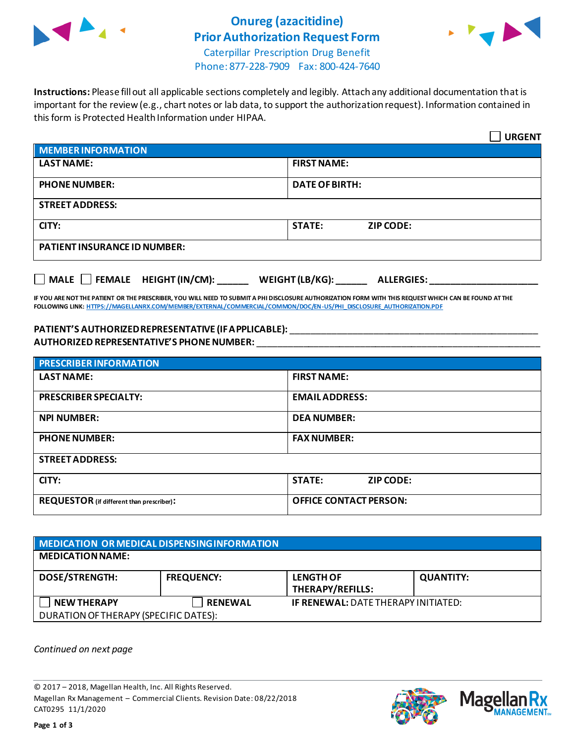

# **Onureg (azacitidine) Prior Authorization Request Form**



Caterpillar Prescription Drug Benefit Phone: 877-228-7909 Fax: 800-424-7640

**Instructions:** Please fill out all applicable sections completely and legibly. Attach any additional documentation that is important for the review (e.g., chart notes or lab data, to support the authorization request). Information contained in this form is Protected Health Information under HIPAA.

|                                                                                   | <b>URGENT</b>                     |  |  |  |
|-----------------------------------------------------------------------------------|-----------------------------------|--|--|--|
| <b>MEMBER INFORMATION</b>                                                         |                                   |  |  |  |
| <b>LAST NAME:</b>                                                                 | <b>FIRST NAME:</b>                |  |  |  |
| <b>PHONE NUMBER:</b>                                                              | <b>DATE OF BIRTH:</b>             |  |  |  |
| <b>STREET ADDRESS:</b>                                                            |                                   |  |  |  |
| CITY:                                                                             | <b>STATE:</b><br><b>ZIP CODE:</b> |  |  |  |
| <b>PATIENT INSURANCE ID NUMBER:</b>                                               |                                   |  |  |  |
| $\Box$ MALE $\Box$ FEMALE HEIGHT (IN/CM):<br>WEIGHT (LB/KG):<br><b>ALLERGIES:</b> |                                   |  |  |  |

**IF YOU ARE NOT THE PATIENT OR THE PRESCRIBER, YOU WILL NEED TO SUBMIT A PHI DISCLOSURE AUTHORIZATION FORM WITH THIS REQUEST WHICH CAN BE FOUND AT THE FOLLOWING LINK[: HTTPS://MAGELLANRX.COM/MEMBER/EXTERNAL/COMMERCIAL/COMMON/DOC/EN-US/PHI\\_DISCLOSURE\\_AUTHORIZATION.PDF](https://magellanrx.com/member/external/commercial/common/doc/en-us/PHI_Disclosure_Authorization.pdf)**

### **PATIENT'S AUTHORIZED REPRESENTATIVE (IF APPLICABLE):** \_\_\_\_\_\_\_\_\_\_\_\_\_\_\_\_\_\_\_\_\_\_\_\_\_\_\_\_\_\_\_\_\_\_\_\_\_\_\_\_\_\_\_\_\_\_\_\_ **AUTHORIZED REPRESENTATIVE'S PHONE NUMBER:** \_\_\_\_\_\_\_\_\_\_\_\_\_\_\_\_\_\_\_\_\_\_\_\_\_\_\_\_\_\_\_\_\_\_\_\_\_\_\_\_\_\_\_\_\_\_\_\_\_\_\_\_\_\_\_

| <b>PRESCRIBER INFORMATION</b>             |                                   |  |  |
|-------------------------------------------|-----------------------------------|--|--|
| <b>LAST NAME:</b>                         | <b>FIRST NAME:</b>                |  |  |
| <b>PRESCRIBER SPECIALTY:</b>              | <b>EMAILADDRESS:</b>              |  |  |
| <b>NPI NUMBER:</b>                        | <b>DEA NUMBER:</b>                |  |  |
| <b>PHONE NUMBER:</b>                      | <b>FAX NUMBER:</b>                |  |  |
| <b>STREET ADDRESS:</b>                    |                                   |  |  |
| CITY:                                     | <b>STATE:</b><br><b>ZIP CODE:</b> |  |  |
| REQUESTOR (if different than prescriber): | <b>OFFICE CONTACT PERSON:</b>     |  |  |

| MEDICATION OR MEDICAL DISPENSING INFORMATION |                   |                                             |                  |  |  |
|----------------------------------------------|-------------------|---------------------------------------------|------------------|--|--|
| <b>MEDICATION NAME:</b>                      |                   |                                             |                  |  |  |
| <b>DOSE/STRENGTH:</b>                        | <b>FREQUENCY:</b> | <b>LENGTH OF</b><br><b>THERAPY/REFILLS:</b> | <b>QUANTITY:</b> |  |  |
| <b>NEW THERAPY</b>                           | <b>RENEWAL</b>    | <b>IF RENEWAL: DATE THERAPY INITIATED:</b>  |                  |  |  |
| DURATION OF THERAPY (SPECIFIC DATES):        |                   |                                             |                  |  |  |

*Continued on next page*

© 2017 – 2018, Magellan Health, Inc. All Rights Reserved. Magellan Rx Management – Commercial Clients. Revision Date: 08/22/2018 CAT0295 11/1/2020



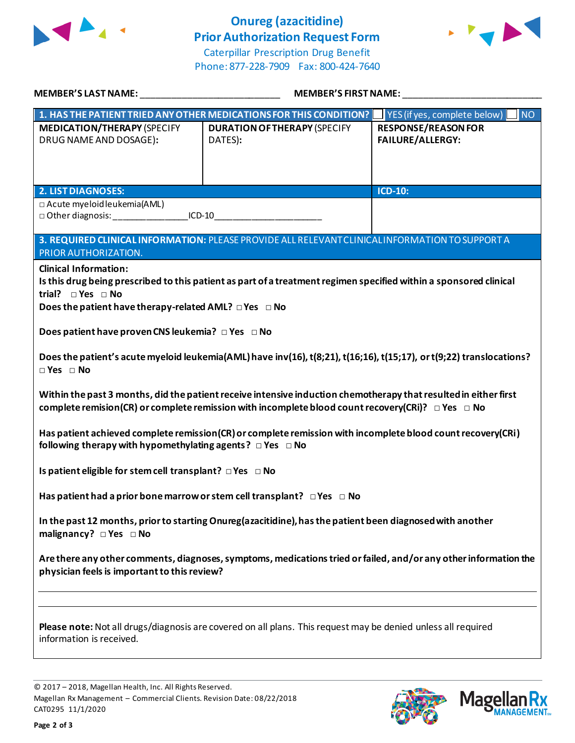

# **Onureg (azacitidine) Prior Authorization Request Form**





| <b>MEMBER'S LAST NAME:</b>                                                                                                                                                                                                                                                                                                                                                                                                                        | <b>MEMBER'S FIRST NAME:</b>                                                                                   |                                                       |  |  |
|---------------------------------------------------------------------------------------------------------------------------------------------------------------------------------------------------------------------------------------------------------------------------------------------------------------------------------------------------------------------------------------------------------------------------------------------------|---------------------------------------------------------------------------------------------------------------|-------------------------------------------------------|--|--|
|                                                                                                                                                                                                                                                                                                                                                                                                                                                   | 1. HAS THE PATIENT TRIED ANY OTHER MEDICATIONS FOR THIS CONDITION?                                            | <b>NO</b><br>YES (if yes, complete below)             |  |  |
| <b>MEDICATION/THERAPY (SPECIFY</b><br>DRUG NAME AND DOSAGE):                                                                                                                                                                                                                                                                                                                                                                                      | <b>DURATION OF THERAPY (SPECIFY</b><br>DATES):                                                                | <b>RESPONSE/REASON FOR</b><br><b>FAILURE/ALLERGY:</b> |  |  |
| <b>2. LIST DIAGNOSES:</b>                                                                                                                                                                                                                                                                                                                                                                                                                         |                                                                                                               | ICD-10:                                               |  |  |
| □ Acute myeloid leukemia(AML)                                                                                                                                                                                                                                                                                                                                                                                                                     | $ICD-10$                                                                                                      |                                                       |  |  |
| PRIOR AUTHORIZATION.                                                                                                                                                                                                                                                                                                                                                                                                                              | 3. REQUIRED CLINICAL INFORMATION: PLEASE PROVIDE ALL RELEVANT CLINICAL INFORMATION TO SUPPORT A               |                                                       |  |  |
| <b>Clinical Information:</b><br>Is this drug being prescribed to this patient as part of a treatment regimen specified within a sponsored clinical<br>trial? $\square$ Yes $\square$ No<br>Does the patient have therapy-related AML? $\Box$ Yes $\Box$ No<br>Does patient have proven CNS leukemia? $\Box$ Yes $\Box$ No<br>Does the patient's acute myeloid leukemia(AML) have inv(16), t(8;21), t(16;16), t(15;17), or t(9;22) translocations? |                                                                                                               |                                                       |  |  |
| $\Box$ Yes $\Box$ No                                                                                                                                                                                                                                                                                                                                                                                                                              |                                                                                                               |                                                       |  |  |
| Within the past 3 months, did the patient receive intensive induction chemotherapy that resulted in either first<br>complete remision(CR) or complete remission with incomplete blood count recovery(CRi)? $\Box$ Yes $\Box$ No                                                                                                                                                                                                                   |                                                                                                               |                                                       |  |  |
| Has patient achieved complete remission (CR) or complete remission with incomplete blood count recovery (CRi)<br>following therapy with hypomethylating agents? $\Box$ Yes $\Box$ No                                                                                                                                                                                                                                                              |                                                                                                               |                                                       |  |  |
| Is patient eligible for stem cell transplant? □ Yes □ No                                                                                                                                                                                                                                                                                                                                                                                          |                                                                                                               |                                                       |  |  |
| Has patient had a prior bone marrow or stem cell transplant? $\Box$ Yes $\Box$ No                                                                                                                                                                                                                                                                                                                                                                 |                                                                                                               |                                                       |  |  |
| In the past 12 months, prior to starting Onureg (azacitidine), has the patient been diagnosed with another<br>malignancy? $\Box$ Yes $\Box$ No                                                                                                                                                                                                                                                                                                    |                                                                                                               |                                                       |  |  |
| Are there any other comments, diagnoses, symptoms, medications tried or failed, and/or any other information the<br>physician feels is important to this review?                                                                                                                                                                                                                                                                                  |                                                                                                               |                                                       |  |  |
|                                                                                                                                                                                                                                                                                                                                                                                                                                                   |                                                                                                               |                                                       |  |  |
| information is received.                                                                                                                                                                                                                                                                                                                                                                                                                          | Please note: Not all drugs/diagnosis are covered on all plans. This request may be denied unless all required |                                                       |  |  |
|                                                                                                                                                                                                                                                                                                                                                                                                                                                   |                                                                                                               |                                                       |  |  |